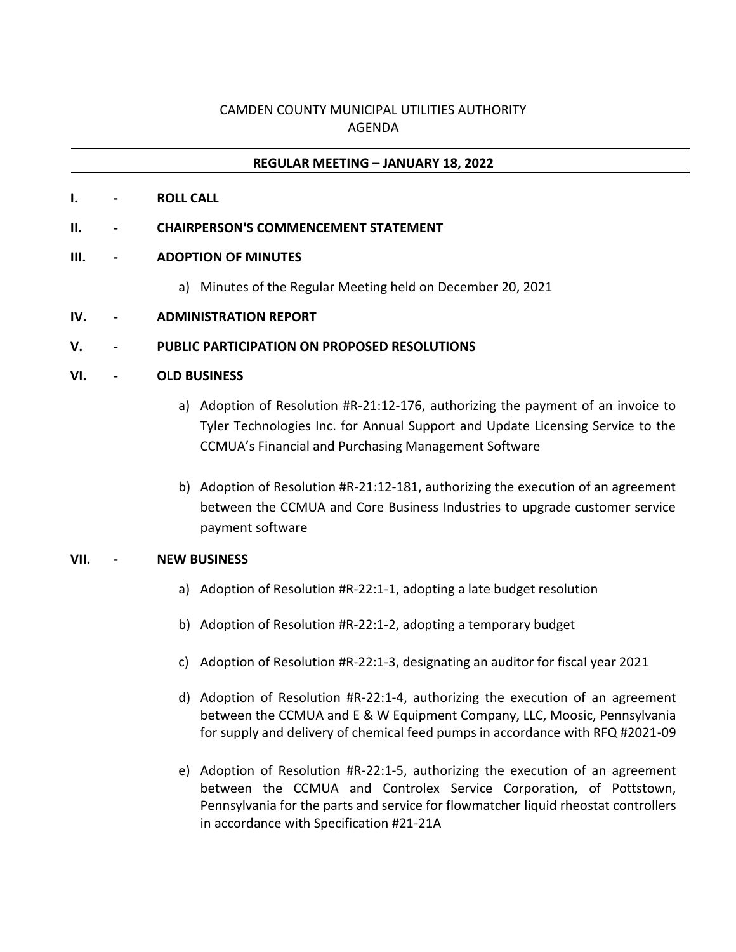# CAMDEN COUNTY MUNICIPAL UTILITIES AUTHORITY AGENDA

## **REGULAR MEETING – JANUARY 18, 2022**

**I. - ROLL CALL**

### **II. - CHAIRPERSON'S COMMENCEMENT STATEMENT**

### **III. - ADOPTION OF MINUTES**

- a) Minutes of the Regular Meeting held on December 20, 2021
- **IV. - ADMINISTRATION REPORT**

### **V. - PUBLIC PARTICIPATION ON PROPOSED RESOLUTIONS**

#### **VI. - OLD BUSINESS**

- a) Adoption of Resolution #R-21:12-176, authorizing the payment of an invoice to Tyler Technologies Inc. for Annual Support and Update Licensing Service to the CCMUA's Financial and Purchasing Management Software
- b) Adoption of Resolution #R-21:12-181, authorizing the execution of an agreement between the CCMUA and Core Business Industries to upgrade customer service payment software

#### **VII. - NEW BUSINESS**

- a) Adoption of Resolution #R-22:1-1, adopting a late budget resolution
- b) Adoption of Resolution #R-22:1-2, adopting a temporary budget
- c) Adoption of Resolution #R-22:1-3, designating an auditor for fiscal year 2021
- d) Adoption of Resolution #R-22:1-4, authorizing the execution of an agreement between the CCMUA and E & W Equipment Company, LLC, Moosic, Pennsylvania for supply and delivery of chemical feed pumps in accordance with RFQ #2021-09
- e) Adoption of Resolution #R-22:1-5, authorizing the execution of an agreement between the CCMUA and Controlex Service Corporation, of Pottstown, Pennsylvania for the parts and service for flowmatcher liquid rheostat controllers in accordance with Specification #21-21A